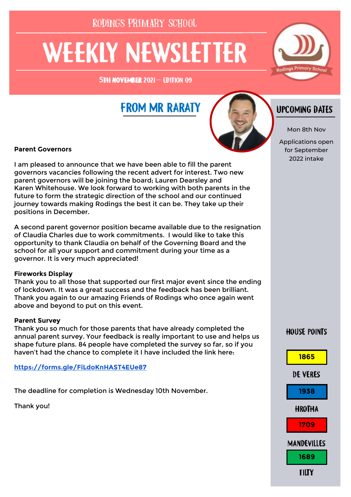RODINGS PRIMARY SCHOOL

# **WEEKLY NEWSLETTER**

5TH NOVENBER 2021- EDITION 09

## **FROM MR RARATY**



### **Parent Governors**

I am pleased to announce that we have been able to fill the parent governors vacancies following the recent advert for interest. Two new parent governors will be joining the board; Lauren Dearsley and Karen Whitehouse. We look forward to working with both parents in the future to form the strategic direction of the school and our continued journey towards making Rodings the best it can be. They take up their positions in December.

A second parent governor position became available due to the resignation of Claudia Charles due to work commitments. I would like to take this opportunity to thank Claudia on behalf of the Governing Board and the school for all your support and commitment during your time as a governor. It is very much appreciated!

### **Fireworks Display**

Thank you to all those that supported our first major event since the ending of lockdown. It was a great success and the feedback has been brilliant. Thank you again to our amazing Friends of Rodings who once again went above and beyond to put on this event.

### **Parent Survey**

Thank you so much for those parents that have already completed the annual parent survey. Your feedback is really important to use and helps us shape future plans. 84 people have completed the survey so far, so if you haven't had the chance to complete it I have included the link here:

**<https://forms.gle/FiLdoKnHAST4EUe87>**

The deadline for completion is Wednesday 10th November.

Thank you!

## **UPCOMING DATES**

Mon 8th Nov

Applications open for September 2022 intake

### **HOUSE POINTS**

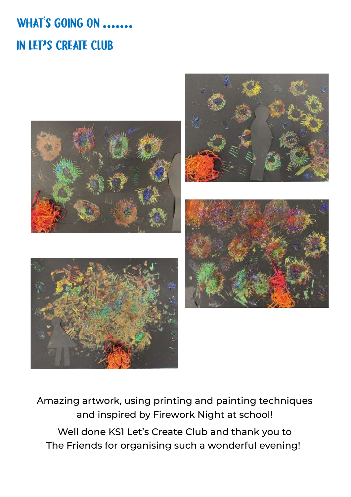## WHAT'S GOING ON ....... IN LET'S CREATE CLUB



Amazing artwork, using printing and painting techniques and inspired by Firework Night at school! Well done KS1 Let's Create Club and thank you to The Friends for organising such a wonderful evening!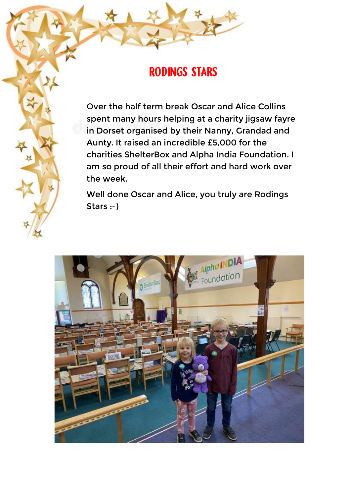## **RODINGS STARS**

Over the half term break Oscar and Alice Collins spent many hours helping at a charity jigsaw fayre in Dorset organised by their Nanny, Grandad and Aunty. It raised an incredible £5,000 for the charities ShelterBox and Alpha India Foundation. I am so proud of all their effort and hard work over the week.

Well done Oscar and Alice, you truly are Rodings Stars :-)

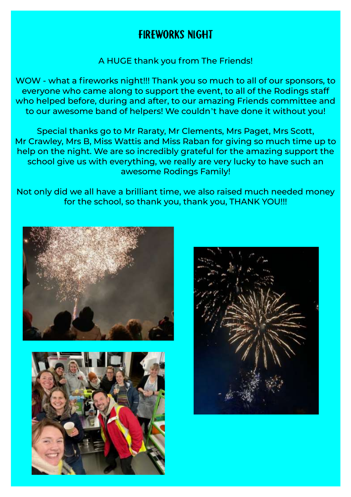## **FIREWORKS NIGHT**

A HUGE thank you from The Friends!

WOW - what a fireworks night!!! Thank you so much to all of our sponsors, to everyone who came along to support the event, to all of the Rodings staff who helped before, during and after, to our amazing Friends committee and to our awesome band of helpers! We couldn't have done it without you!

Special thanks go to Mr Raraty, Mr Clements, Mrs Paget, Mrs Scott, Mr Crawley, Mrs B, Miss Wattis and Miss Raban for giving so much time up to help on the night. We are so incredibly grateful for the amazing support the school give us with everything, we really are very lucky to have such an awesome Rodings Family!

Not only did we all have a brilliant time, we also raised much needed money for the school, so thank you, thank you, THANK YOU!!!





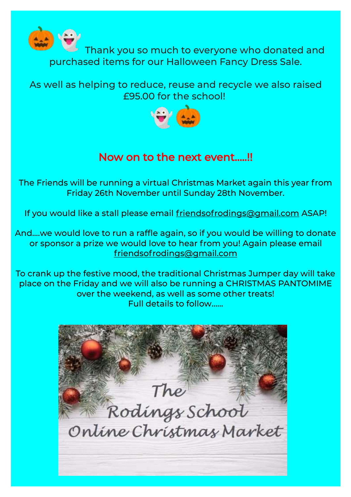

Thank you so much to everyone who donated and purchased items for our Halloween Fancy Dress Sale.

As well as helping to reduce, reuse and recycle we also raised £95.00 for the school!



## Now on to the next event…..!!

The Friends will be running a virtual Christmas Market again this year from Friday 26th November until Sunday 28th November.

If you would like a stall please email [friendsofrodings@gmail.com](mailto:friendsofrodings@gmail.com) ASAP!

And….we would love to run a raffle again, so if you would be willing to donate or sponsor a prize we would love to hear from you! Again please email [friendsofrodings@gmail.com](mailto:friendsofrodings@gmail.com)

To crank up the festive mood, the traditional Christmas Jumper day will take place on the Friday and we will also be running a CHRISTMAS PANTOMIME over the weekend, as well as some other treats! Full details to follow……